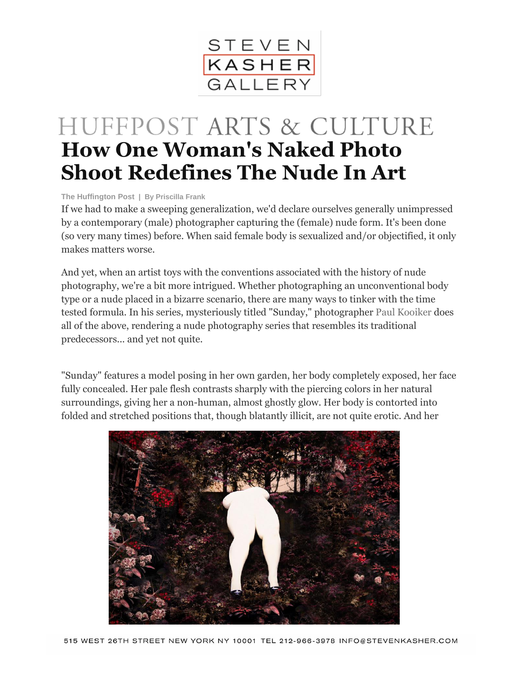

## HUFFPOST ARTS & CULTURE **How One Woman's Naked Photo Shoot Redefines The Nude In Art**

**The Huffington Post | By [Priscilla](http://www.huffingtonpost.com/priscilla-frank/) Frank**

If we had to make a sweeping generalization, we'd declare ourselves generally unimpressed by a contemporary (male) photographer capturing the (female) nude form. It's been done (so very many times) before. When said female body is sexualized and/or objectified, it only makes matters worse.

And yet, when an artist toys with the conventions associated with the history of nude photography, we're a bit more intrigued. Whether photographing an unconventional body type or a nude placed in a bizarre scenario, there are many ways to tinker with the time tested formula. In his series, mysteriously titled "Sunday," photographer Paul [Kooiker](http://www.paulkooiker.com/) does all of the above, rendering a nude photography series that resembles its traditional predecessors... and yet not quite.

"Sunday" features a model posing in her own garden, her body completely exposed, her face fully concealed. Her pale flesh contrasts sharply with the piercing colors in her natural surroundings, giving her a non-human, almost ghostly glow. Her body is contorted into folded and stretched positions that, though blatantly illicit, are not quite erotic. And her

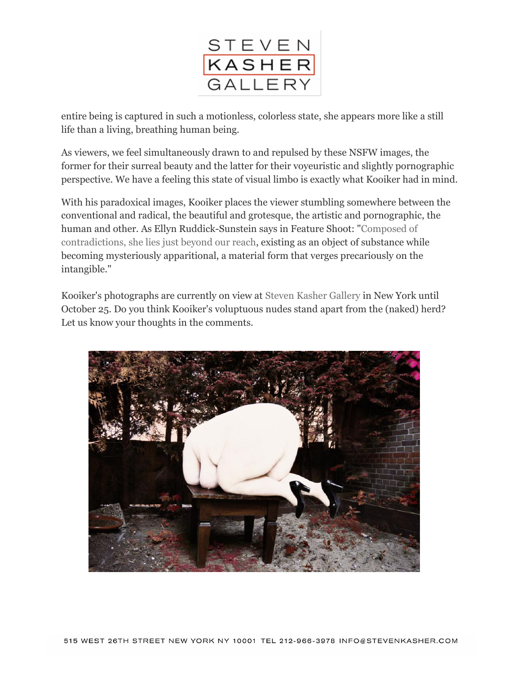

entire being is captured in such a motionless, colorless state, she appears more like a still life than a living, breathing human being.

As viewers, we feel simultaneously drawn to and repulsed by these NSFW images, the former for their surreal beauty and the latter for their voyeuristic and slightly pornographic perspective. We have a feeling this state of visual limbo is exactly what Kooiker had in mind.

With his paradoxical images, Kooiker places the viewer stumbling somewhere between the conventional and radical, the beautiful and grotesque, the artistic and pornographic, the human and other. As Ellyn Ruddick-Sunstein says in Feature Shoot: ["Composed](http://www.featureshoot.com/2014/10/mysterious-alluring-photos-faceless-nude-garden-nsfw/) of [contradictions,](http://www.featureshoot.com/2014/10/mysterious-alluring-photos-faceless-nude-garden-nsfw/) she lies just beyond our reach, existing as an object of substance while becoming mysteriously apparitional, a material form that verges precariously on the intangible."

Kooiker's photographs are currently on view at Steven Kasher [Gallery](http://www.stevenkasher.com/) in New York until October 25. Do you think Kooiker's voluptuous nudes stand apart from the (naked) herd? Let us know your thoughts in the comments.